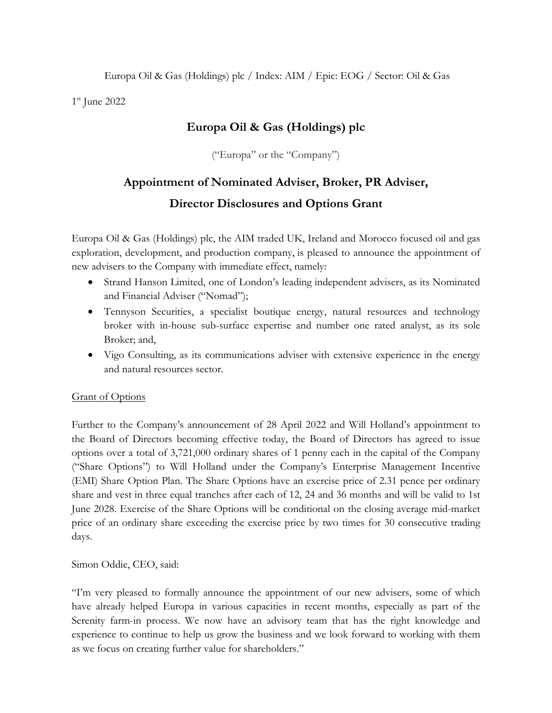Europa Oil & Gas (Holdings) plc / Index: AIM / Epic: EOG / Sector: Oil & Gas

1 st June 2022

# **Europa Oil & Gas (Holdings) plc**

("Europa" or the "Company")

# **Appointment of Nominated Adviser, Broker, PR Adviser, Director Disclosures and Options Grant**

Europa Oil & Gas (Holdings) plc, the AIM traded UK, Ireland and Morocco focused oil and gas exploration, development, and production company, is pleased to announce the appointment of new advisers to the Company with immediate effect, namely:

- Strand Hanson Limited, one of London's leading independent advisers, as its Nominated and Financial Adviser ("Nomad");
- Tennyson Securities, a specialist boutique energy, natural resources and technology broker with in-house sub-surface expertise and number one rated analyst, as its sole Broker; and,
- Vigo Consulting, as its communications adviser with extensive experience in the energy and natural resources sector.

## **Grant of Options**

Further to the Company's announcement of 28 April 2022 and Will Holland's appointment to the Board of Directors becoming effective today, the Board of Directors has agreed to issue options over a total of 3,721,000 ordinary shares of 1 penny each in the capital of the Company ("Share Options") to Will Holland under the Company's Enterprise Management Incentive (EMI) Share Option Plan. The Share Options have an exercise price of 2.31 pence per ordinary share and vest in three equal tranches after each of 12, 24 and 36 months and will be valid to 1st June 2028. Exercise of the Share Options will be conditional on the closing average mid-market price of an ordinary share exceeding the exercise price by two times for 30 consecutive trading days.

Simon Oddie, CEO, said:

"I'm very pleased to formally announce the appointment of our new advisers, some of which have already helped Europa in various capacities in recent months, especially as part of the Serenity farm-in process. We now have an advisory team that has the right knowledge and experience to continue to help us grow the business and we look forward to working with them as we focus on creating further value for shareholders."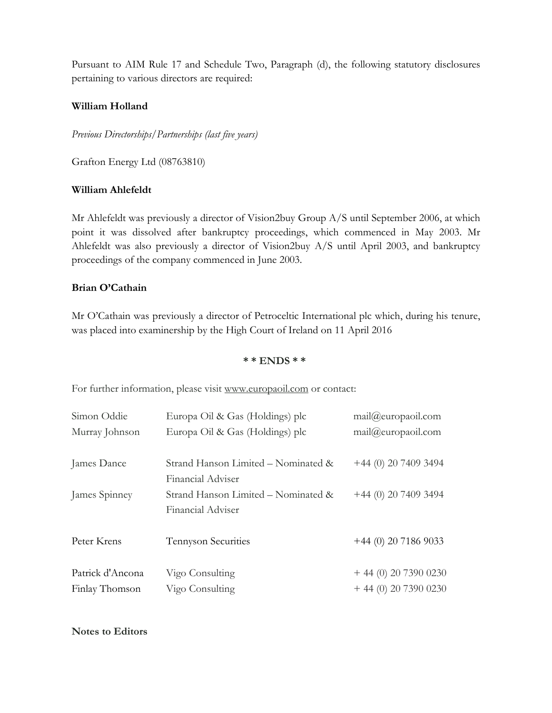Pursuant to AIM Rule 17 and Schedule Two, Paragraph (d), the following statutory disclosures pertaining to various directors are required:

#### **William Holland**

*Previous Directorships/Partnerships (last five years)*

Grafton Energy Ltd (08763810)

#### **William Ahlefeldt**

Mr Ahlefeldt was previously a director of Vision2buy Group A/S until September 2006, at which point it was dissolved after bankruptcy proceedings, which commenced in May 2003. Mr Ahlefeldt was also previously a director of Vision2buy A/S until April 2003, and bankruptcy proceedings of the company commenced in June 2003.

### **Brian O'Cathain**

Mr O'Cathain was previously a director of Petroceltic International plc which, during his tenure, was placed into examinership by the High Court of Ireland on 11 April 2016

#### **\* \* ENDS \* \***

For further information, please visit [www.europaoil.com](http://www.europaoil.com/) or contact:

| Simon Oddie      | Europa Oil & Gas (Holdings) plc     | mail@curopaoil.com     |
|------------------|-------------------------------------|------------------------|
| Murray Johnson   | Europa Oil & Gas (Holdings) plc     | mail@curopaoil.com     |
|                  |                                     |                        |
| James Dance      | Strand Hanson Limited – Nominated & | $+44$ (0) 20 7409 3494 |
|                  | Financial Adviser                   |                        |
| James Spinney    | Strand Hanson Limited - Nominated & | $+44$ (0) 20 7409 3494 |
|                  | Financial Adviser                   |                        |
| Peter Krens      | <b>Tennyson Securities</b>          | $+44$ (0) 20 7186 9033 |
| Patrick d'Ancona | Vigo Consulting                     | $+44(0)$ 20 7390 0230  |
| Finlay Thomson   | Vigo Consulting                     | $+44$ (0) 20 7390 0230 |

#### **Notes to Editors**